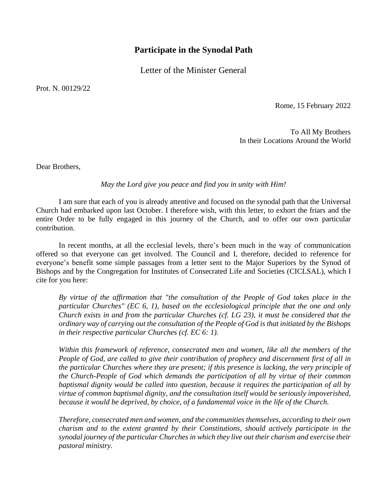## **Participate in the Synodal Path**

Letter of the Minister General

Prot. N. 00129/22

Rome, 15 February 2022

To All My Brothers In their Locations Around the World

Dear Brothers,

*May the Lord give you peace and find you in unity with Him!*

I am sure that each of you is already attentive and focused on the synodal path that the Universal Church had embarked upon last October. I therefore wish, with this letter, to exhort the friars and the entire Order to be fully engaged in this journey of the Church, and to offer our own particular contribution.

In recent months, at all the ecclesial levels, there's been much in the way of communication offered so that everyone can get involved. The Council and I, therefore, decided to reference for everyone's benefit some simple passages from a letter sent to the Major Superiors by the Synod of Bishops and by the Congregation for Institutes of Consecrated Life and Societies (CICLSAL), which I cite for you here:

*By virtue of the affirmation that "the consultation of the People of God takes place in the particular Churches" (EC 6, 1), based on the ecclesiological principle that the one and only Church exists in and from the particular Churches (cf. LG 23), it must be considered that the ordinary way of carrying out the consultation of the People of God is that initiated by the Bishops in their respective particular Churches (cf. EC 6: 1).*

*Within this framework of reference, consecrated men and women, like all the members of the People of God, are called to give their contribution of prophecy and discernment first of all in the particular Churches where they are present; if this presence is lacking, the very principle of the Church-People of God which demands the participation of all by virtue of their common baptismal dignity would be called into question, because it requires the participation of all by virtue of common baptismal dignity, and the consultation itself would be seriously impoverished, because it would be deprived, by choice, of a fundamental voice in the life of the Church.*

*Therefore, consecrated men and women, and the communities themselves, according to their own charism and to the extent granted by their Constitutions, should actively participate in the synodal journey of the particular Churches in which they live out their charism and exercise their pastoral ministry.*